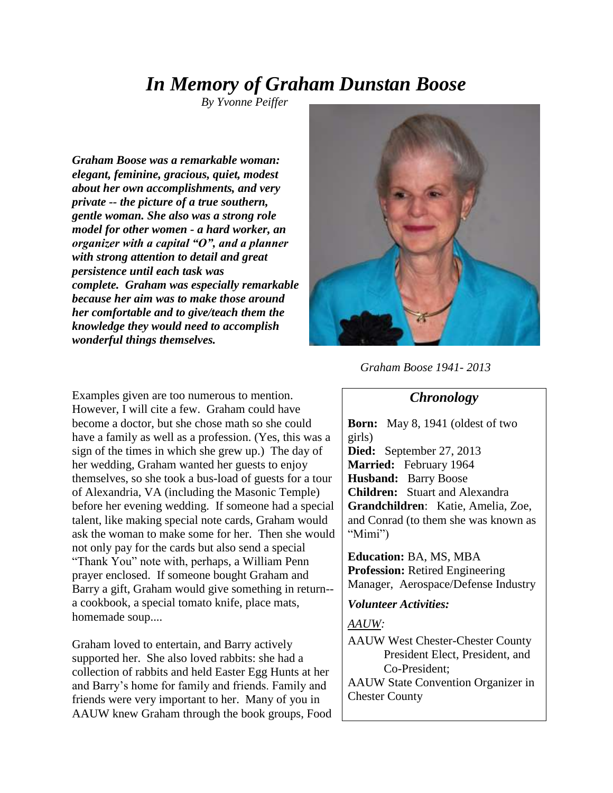# *In Memory of Graham Dunstan Boose*

 *By Yvonne Peiffer*

*Graham Boose was a remarkable woman: elegant, feminine, gracious, quiet, modest about her own accomplishments, and very private -- the picture of a true southern, gentle woman. She also was a strong role model for other women - a hard worker, an organizer with a capital "O", and a planner with strong attention to detail and great persistence until each task was complete. Graham was especially remarkable because her aim was to make those around her comfortable and to give/teach them the knowledge they would need to accomplish wonderful things themselves.*



#### *Graham Boose 1941- 2013*

#### *Chronology*

Examples given are too numerous to mention. However, I will cite a few. Graham could have become a doctor, but she chose math so she could have a family as well as a profession. (Yes, this was a sign of the times in which she grew up.) The day of her wedding, Graham wanted her guests to enjoy themselves, so she took a bus-load of guests for a tour of Alexandria, VA (including the Masonic Temple) before her evening wedding. If someone had a special talent, like making special note cards, Graham would ask the woman to make some for her. Then she would not only pay for the cards but also send a special "Thank You" note with, perhaps, a William Penn prayer enclosed. If someone bought Graham and Barry a gift, Graham would give something in return- a cookbook, a special tomato knife, place mats, homemade soup....

Graham loved to entertain, and Barry actively supported her. She also loved rabbits: she had a collection of rabbits and held Easter Egg Hunts at her and Barry's home for family and friends. Family and friends were very important to her. Many of you in AAUW knew Graham through the book groups, Food **Born:** May 8, 1941 (oldest of two girls) **Died:** September 27, 2013 **Married:** February 1964

**Husband:** Barry Boose **Children:** Stuart and Alexandra **Grandchildren**: Katie, Amelia, Zoe, and Conrad (to them she was known as "Mimi")

**Education:** BA, MS, MBA **Profession:** Retired Engineering Manager, Aerospace/Defense Industry

*Volunteer Activities:* 

### *AAUW:*

AAUW West Chester-Chester County President Elect, President, and Co-President;

AAUW State Convention Organizer in Chester County